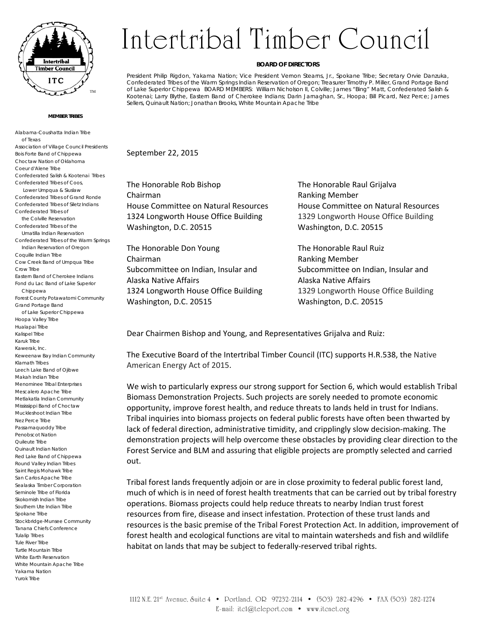

## **MEMBER TRIBES**

Alabama-Coushatta Indian Tribe of Texas Association of Village Council Presidents Bois Forte Band of Chippewa Choctaw Nation of Oklahoma Coeur d'Alene Tribe Confederated Salish & Kootenai Tribes Confederated Tribes of Coos, Lower Umpqua & Siuslaw Confederated Tribes of Grand Ronde Confederated Tribes of Siletz Indians Confederated Tribes of the Colville Reservation Confederated Tribes of the Umatilla Indian Reservation Confederated Tribes of the Warm Springs Indian Reservation of Oregon Coquille Indian Tribe Cow Creek Band of Umpqua Tribe Crow Tribe Eastern Band of Cherokee Indians Fond du Lac Band of Lake Superior Chippewa Forest County Potawatomi Community Grand Portage Band of Lake Superior Chippewa Hoopa Valley Tribe Hualapai Tribe Kalispel Tribe Karuk Tribe Kawerak, Inc. Keweenaw Bay Indian Community Klamath Tribes Leech Lake Band of Ojibwe Makah Indian Tribe Menominee Tribal Enterprises Mescalero Apache Tribe Metlakatla Indian Community Mississippi Band of Choctaw Muckleshoot Indian Tribe Nez Perce Tribe Passamaquoddy Tribe Penobscot Nation Quileute Tribe Quinault Indian Nation Red Lake Band of Chippewa Round Valley Indian Tribes Saint Regis Mohawk Tribe San Carlos Apache Tribe Sealaska Timber Corporation Seminole Tribe of Florida Skokomish Indian Tribe Southern Ute Indian Tribe Spokane Tribe Stockbridge-Munsee Community Tanana Chiefs Conference Tulalip Tribes Tule River Tribe Turtle Mountain Tribe White Earth Reservation White Mountain Apache Tribe Yakama Nation Yurok Tribe

## Intertribal Timber Council

## **BOARD OF DIRECTORS**

President Philip Rigdon, Yakama Nation; Vice President Vernon Stearns, Jr., Spokane Tribe; Secretary Orvie Danzuka, Confederated Tribes of the Warm Springs Indian Reservation of Oregon; Treasurer Timothy P. Miller, Grand Portage Band of Lake Superior Chippewa BOARD MEMBERS: William Nicholson II, Colville; James "Bing" Matt, Confederated Salish & Kootenai; Larry Blythe, Eastern Band of Cherokee Indians; Darin Jarnaghan, Sr., Hoopa; Bill Picard, Nez Perce; James Sellers, Quinault Nation; Jonathan Brooks, White Mountain Apache Tribe

September 22, 2015

The Honorable Rob Bishop The Honorable Raul Grijalva Chairman Ranking Member House Committee on Natural Resources House Committee on Natural Resources 1324 Longworth House Office Building 1329 Longworth House Office Building Washington, D.C. 20515 Washington, D.C. 20515

The Honorable Don Young The Honorable Raul Ruiz Chairman Ranking Member Subcommittee on Indian, Insular and Subcommittee on Indian, Insular and Alaska Native Affairs Alaska Native Affairs Washington, D.C. 20515 Washington, D.C. 20515

1324 Longworth House Office Building 1329 Longworth House Office Building

Dear Chairmen Bishop and Young, and Representatives Grijalva and Ruiz:

The Executive Board of the Intertribal Timber Council (ITC) supports H.R.538, the Native American Energy Act of 2015.

We wish to particularly express our strong support for Section 6, which would establish Tribal Biomass Demonstration Projects. Such projects are sorely needed to promote economic opportunity, improve forest health, and reduce threats to lands held in trust for Indians. Tribal inquiries into biomass projects on federal public forests have often been thwarted by lack of federal direction, administrative timidity, and cripplingly slow decision‐making. The demonstration projects will help overcome these obstacles by providing clear direction to the Forest Service and BLM and assuring that eligible projects are promptly selected and carried out.

Tribal forest lands frequently adjoin or are in close proximity to federal public forest land, much of which is in need of forest health treatments that can be carried out by tribal forestry operations. Biomass projects could help reduce threats to nearby Indian trust forest resources from fire, disease and insect infestation. Protection of these trust lands and resources is the basic premise of the Tribal Forest Protection Act. In addition, improvement of forest health and ecological functions are vital to maintain watersheds and fish and wildlife habitat on lands that may be subject to federally-reserved tribal rights.